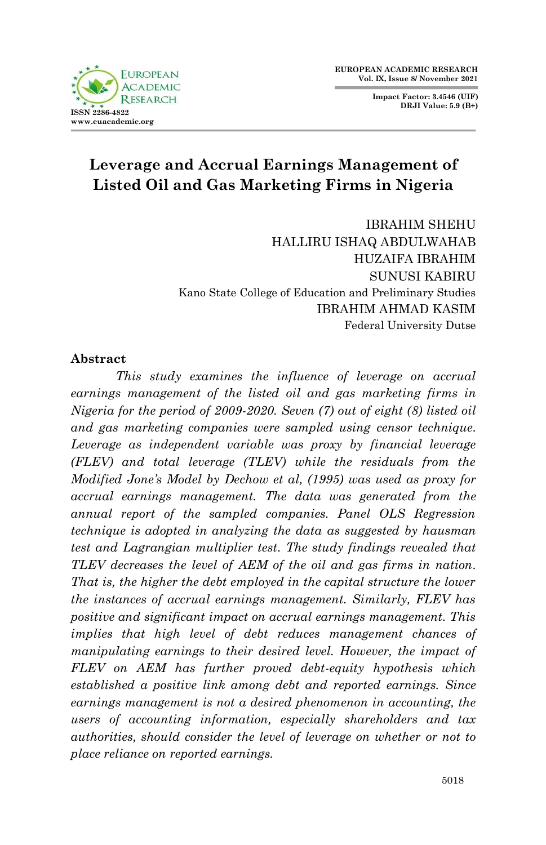**FUROPEAN ACADEMIC**  $D$  ESE A D **ISSN 2286-4822 www.euacademic.org**

**Impact Factor: 3.4546 (UIF) DRJI Value: 5.9 (B+)**

# **Leverage and Accrual Earnings Management of Listed Oil and Gas Marketing Firms in Nigeria**

IBRAHIM SHEHU HALLIRU ISHAQ ABDULWAHAB HUZAIFA IBRAHIM SUNUSI KABIRU Kano State College of Education and Preliminary Studies IBRAHIM AHMAD KASIM Federal University Dutse

#### **Abstract**

*This study examines the influence of leverage on accrual earnings management of the listed oil and gas marketing firms in Nigeria for the period of 2009-2020. Seven (7) out of eight (8) listed oil and gas marketing companies were sampled using censor technique. Leverage as independent variable was proxy by financial leverage (FLEV) and total leverage (TLEV) while the residuals from the Modified Jone's Model by Dechow et al, (1995) was used as proxy for accrual earnings management. The data was generated from the annual report of the sampled companies. Panel OLS Regression technique is adopted in analyzing the data as suggested by hausman test and Lagrangian multiplier test. The study findings revealed that TLEV decreases the level of AEM of the oil and gas firms in nation. That is, the higher the debt employed in the capital structure the lower the instances of accrual earnings management. Similarly, FLEV has positive and significant impact on accrual earnings management. This implies that high level of debt reduces management chances of manipulating earnings to their desired level. However, the impact of FLEV on AEM has further proved debt-equity hypothesis which established a positive link among debt and reported earnings. Since earnings management is not a desired phenomenon in accounting, the users of accounting information, especially shareholders and tax authorities, should consider the level of leverage on whether or not to place reliance on reported earnings.*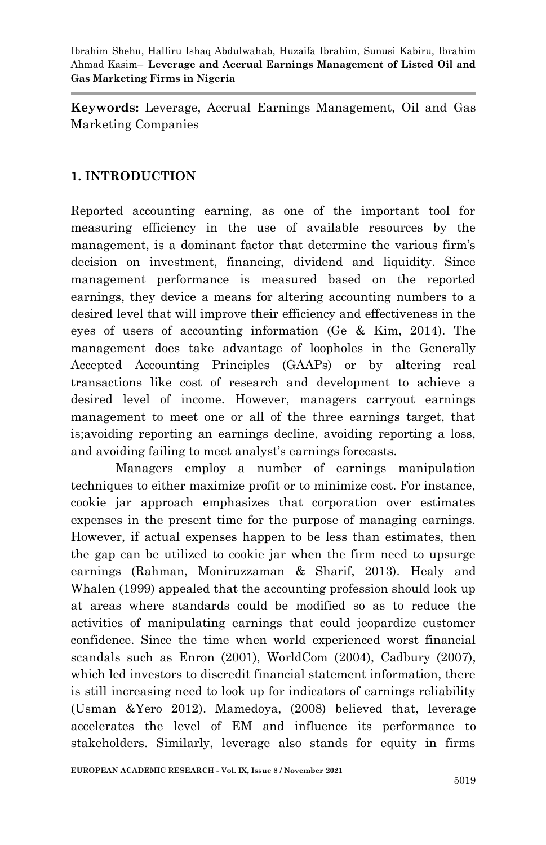**Keywords:** Leverage, Accrual Earnings Management, Oil and Gas Marketing Companies

# **1. INTRODUCTION**

Reported accounting earning, as one of the important tool for measuring efficiency in the use of available resources by the management, is a dominant factor that determine the various firm's decision on investment, financing, dividend and liquidity. Since management performance is measured based on the reported earnings, they device a means for altering accounting numbers to a desired level that will improve their efficiency and effectiveness in the eyes of users of accounting information (Ge & Kim, 2014). The management does take advantage of loopholes in the Generally Accepted Accounting Principles (GAAPs) or by altering real transactions like cost of research and development to achieve a desired level of income. However, managers carryout earnings management to meet one or all of the three earnings target, that is;avoiding reporting an earnings decline, avoiding reporting a loss, and avoiding failing to meet analyst's earnings forecasts.

Managers employ a number of earnings manipulation techniques to either maximize profit or to minimize cost. For instance, cookie jar approach emphasizes that corporation over estimates expenses in the present time for the purpose of managing earnings. However, if actual expenses happen to be less than estimates, then the gap can be utilized to cookie jar when the firm need to upsurge earnings (Rahman, Moniruzzaman & Sharif, 2013). Healy and Whalen (1999) appealed that the accounting profession should look up at areas where standards could be modified so as to reduce the activities of manipulating earnings that could jeopardize customer confidence. Since the time when world experienced worst financial scandals such as Enron (2001), WorldCom (2004), Cadbury (2007), which led investors to discredit financial statement information, there is still increasing need to look up for indicators of earnings reliability (Usman &Yero 2012). Mamedoya, (2008) believed that, leverage accelerates the level of EM and influence its performance to stakeholders. Similarly, leverage also stands for equity in firms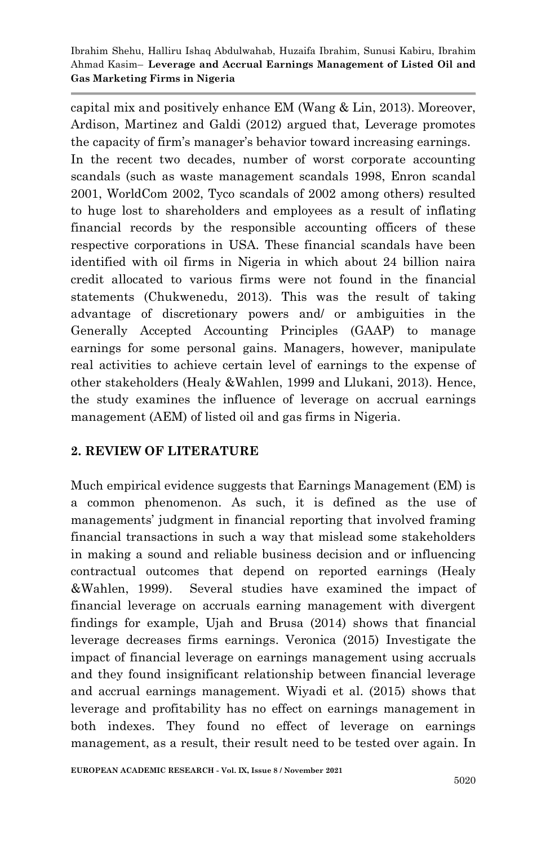capital mix and positively enhance EM (Wang & Lin, 2013). Moreover, Ardison, Martinez and Galdi (2012) argued that, Leverage promotes the capacity of firm's manager's behavior toward increasing earnings. In the recent two decades, number of worst corporate accounting scandals (such as waste management scandals 1998, Enron scandal 2001, WorldCom 2002, Tyco scandals of 2002 among others) resulted to huge lost to shareholders and employees as a result of inflating financial records by the responsible accounting officers of these respective corporations in USA. These financial scandals have been identified with oil firms in Nigeria in which about 24 billion naira credit allocated to various firms were not found in the financial statements (Chukwenedu, 2013). This was the result of taking advantage of discretionary powers and/ or ambiguities in the Generally Accepted Accounting Principles (GAAP) to manage earnings for some personal gains. Managers, however, manipulate real activities to achieve certain level of earnings to the expense of other stakeholders (Healy &Wahlen, 1999 and Llukani, 2013). Hence, the study examines the influence of leverage on accrual earnings management (AEM) of listed oil and gas firms in Nigeria.

# **2. REVIEW OF LITERATURE**

Much empirical evidence suggests that Earnings Management (EM) is a common phenomenon. As such, it is defined as the use of managements' judgment in financial reporting that involved framing financial transactions in such a way that mislead some stakeholders in making a sound and reliable business decision and or influencing contractual outcomes that depend on reported earnings (Healy &Wahlen, 1999). Several studies have examined the impact of financial leverage on accruals earning management with divergent findings for example, Ujah and Brusa (2014) shows that financial leverage decreases firms earnings. Veronica (2015) Investigate the impact of financial leverage on earnings management using accruals and they found insignificant relationship between financial leverage and accrual earnings management. Wiyadi et al. (2015) shows that leverage and profitability has no effect on earnings management in both indexes. They found no effect of leverage on earnings management, as a result, their result need to be tested over again. In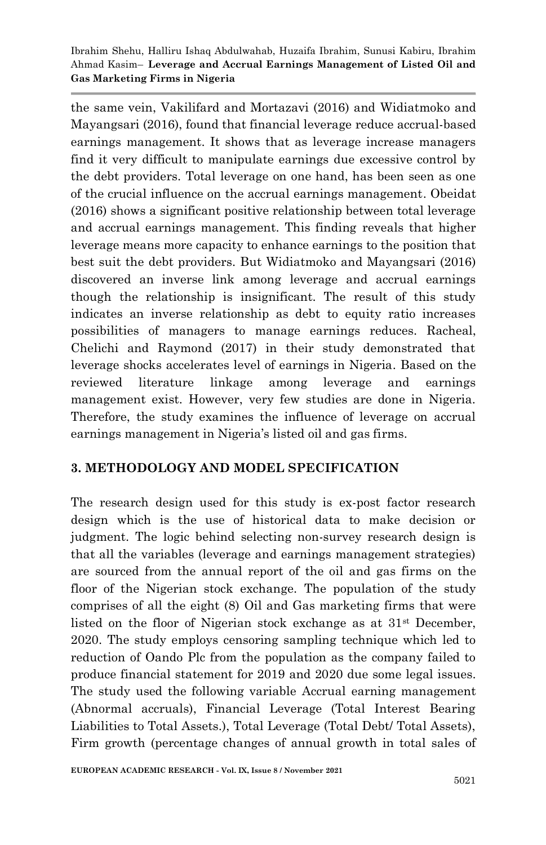the same vein, Vakilifard and Mortazavi (2016) and Widiatmoko and Mayangsari (2016), found that financial leverage reduce accrual-based earnings management. It shows that as leverage increase managers find it very difficult to manipulate earnings due excessive control by the debt providers. Total leverage on one hand, has been seen as one of the crucial influence on the accrual earnings management. Obeidat (2016) shows a significant positive relationship between total leverage and accrual earnings management. This finding reveals that higher leverage means more capacity to enhance earnings to the position that best suit the debt providers. But Widiatmoko and Mayangsari (2016) discovered an inverse link among leverage and accrual earnings though the relationship is insignificant. The result of this study indicates an inverse relationship as debt to equity ratio increases possibilities of managers to manage earnings reduces. Racheal, Chelichi and Raymond (2017) in their study demonstrated that leverage shocks accelerates level of earnings in Nigeria. Based on the reviewed literature linkage among leverage and earnings management exist. However, very few studies are done in Nigeria. Therefore, the study examines the influence of leverage on accrual earnings management in Nigeria's listed oil and gas firms.

# **3. METHODOLOGY AND MODEL SPECIFICATION**

The research design used for this study is ex-post factor research design which is the use of historical data to make decision or judgment. The logic behind selecting non-survey research design is that all the variables (leverage and earnings management strategies) are sourced from the annual report of the oil and gas firms on the floor of the Nigerian stock exchange. The population of the study comprises of all the eight (8) Oil and Gas marketing firms that were listed on the floor of Nigerian stock exchange as at  $31<sup>st</sup>$  December, 2020. The study employs censoring sampling technique which led to reduction of Oando Plc from the population as the company failed to produce financial statement for 2019 and 2020 due some legal issues. The study used the following variable Accrual earning management (Abnormal accruals), Financial Leverage (Total Interest Bearing Liabilities to Total Assets.), Total Leverage (Total Debt/ Total Assets), Firm growth (percentage changes of annual growth in total sales of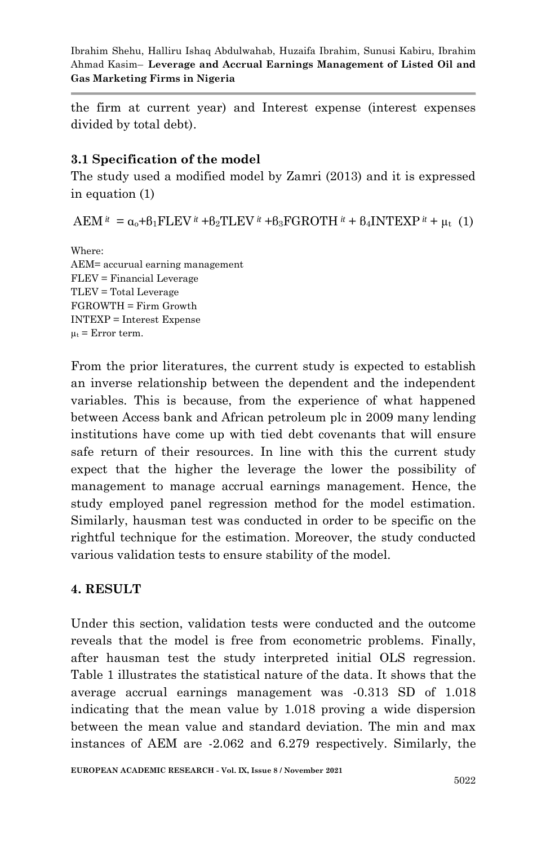the firm at current year) and Interest expense (interest expenses divided by total debt).

#### **3.1 Specification of the model**

The study used a modified model by Zamri (2013) and it is expressed in equation (1)

 $AEM^{it} = \alpha_0 + \beta_1 FLEV^{it} + \beta_2 TLEV^{it} + \beta_3 FGROTH^{it} + \beta_4 INTEXP^{it} + \mu_t (1)$ 

Where: AEM= accurual earning management FLEV = Financial Leverage TLEV = Total Leverage FGROWTH = Firm Growth INTEXP = Interest Expense  $\mu_t$  = Error term.

From the prior literatures, the current study is expected to establish an inverse relationship between the dependent and the independent variables. This is because, from the experience of what happened between Access bank and African petroleum plc in 2009 many lending institutions have come up with tied debt covenants that will ensure safe return of their resources. In line with this the current study expect that the higher the leverage the lower the possibility of management to manage accrual earnings management. Hence, the study employed panel regression method for the model estimation. Similarly, hausman test was conducted in order to be specific on the rightful technique for the estimation. Moreover, the study conducted various validation tests to ensure stability of the model.

# **4. RESULT**

Under this section, validation tests were conducted and the outcome reveals that the model is free from econometric problems. Finally, after hausman test the study interpreted initial OLS regression. Table 1 illustrates the statistical nature of the data. It shows that the average accrual earnings management was -0.313 SD of 1.018 indicating that the mean value by 1.018 proving a wide dispersion between the mean value and standard deviation. The min and max instances of AEM are -2.062 and 6.279 respectively. Similarly, the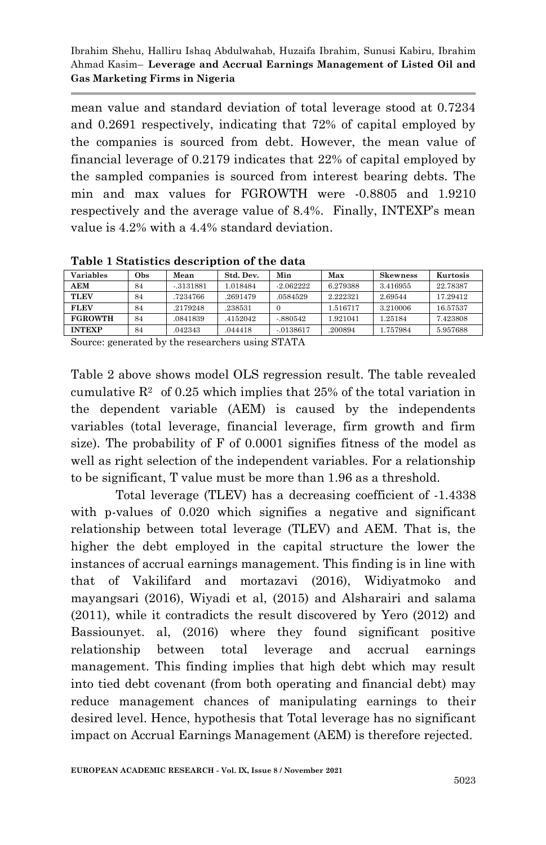mean value and standard deviation of total leverage stood at 0.7234 and 0.2691 respectively, indicating that 72% of capital employed by the companies is sourced from debt. However, the mean value of financial leverage of 0.2179 indicates that 22% of capital employed by the sampled companies is sourced from interest bearing debts. The min and max values for FGROWTH were -0.8805 and 1.9210 respectively and the average value of 8.4%. Finally, INTEXP's mean value is 4.2% with a 4.4% standard deviation.

| Variables      | Obs | Mean        | Std. Dev. | Min         | Max      | <b>Skewness</b> | Kurtosis |
|----------------|-----|-------------|-----------|-------------|----------|-----------------|----------|
| AEM            | 84  | $-.3131881$ | 1.018484  | $-2.062222$ | 6.279388 | 3.416955        | 22.78387 |
| <b>TLEV</b>    | 84  | .7234766    | .2691479  | .0584529    | 2.222321 | 2.69544         | 17.29412 |
| <b>FLEV</b>    | 84  | 2179248     | .238531   |             | 1.516717 | 3.210006        | 16.57537 |
| <b>FGROWTH</b> | 84  | .0841839    | .4152042  | $-.880542$  | 1.921041 | 1.25184         | 7.423808 |
| <b>INTEXP</b>  | 84  | .042343     | .044418   | $-0138617$  | .200894  | 1.757984        | 5.957688 |

**Table 1 Statistics description of the data**

Source: generated by the researchers using STATA

Table 2 above shows model OLS regression result. The table revealed cumulative  $\mathbb{R}^2$  of 0.25 which implies that 25% of the total variation in the dependent variable (AEM) is caused by the independents variables (total leverage, financial leverage, firm growth and firm size). The probability of F of 0.0001 signifies fitness of the model as well as right selection of the independent variables. For a relationship to be significant, T value must be more than 1.96 as a threshold.

Total leverage (TLEV) has a decreasing coefficient of -1.4338 with p-values of 0.020 which signifies a negative and significant relationship between total leverage (TLEV) and AEM. That is, the higher the debt employed in the capital structure the lower the instances of accrual earnings management. This finding is in line with that of Vakilifard and mortazavi (2016), Widiyatmoko and mayangsari (2016), Wiyadi et al, (2015) and Alsharairi and salama (2011), while it contradicts the result discovered by Yero (2012) and Bassiounyet. al, (2016) where they found significant positive relationship between total leverage and accrual earnings management. This finding implies that high debt which may result into tied debt covenant (from both operating and financial debt) may reduce management chances of manipulating earnings to their desired level. Hence, hypothesis that Total leverage has no significant impact on Accrual Earnings Management (AEM) is therefore rejected.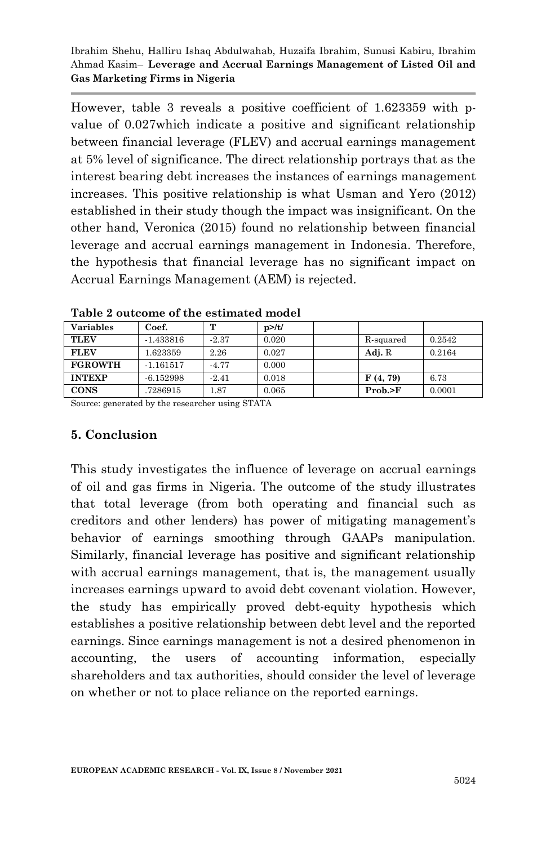However, table 3 reveals a positive coefficient of 1.623359 with pvalue of 0.027which indicate a positive and significant relationship between financial leverage (FLEV) and accrual earnings management at 5% level of significance. The direct relationship portrays that as the interest bearing debt increases the instances of earnings management increases. This positive relationship is what Usman and Yero (2012) established in their study though the impact was insignificant. On the other hand, Veronica (2015) found no relationship between financial leverage and accrual earnings management in Indonesia. Therefore, the hypothesis that financial leverage has no significant impact on Accrual Earnings Management (AEM) is rejected.

| <b>Variables</b> | Coef.       | $^{\mathsf{m}}$ | $p$ >/t/ |           |        |
|------------------|-------------|-----------------|----------|-----------|--------|
| <b>TLEV</b>      | $-1.433816$ | $-2.37$         | 0.020    | R-squared | 0.2542 |
| <b>FLEV</b>      | 1.623359    | 2.26            | 0.027    | Adj. R    | 0.2164 |
| <b>FGROWTH</b>   | $-1.161517$ | $-4.77$         | 0.000    |           |        |
| <b>INTEXP</b>    | $-6.152998$ | $-2.41$         | 0.018    | F(4, 79)  | 6.73   |
| <b>CONS</b>      | 7286915     | .87             | 0.065    | Prob. > F | 0.0001 |

**Table 2 outcome of the estimated model**

Source: generated by the researcher using STATA

#### **5. Conclusion**

This study investigates the influence of leverage on accrual earnings of oil and gas firms in Nigeria. The outcome of the study illustrates that total leverage (from both operating and financial such as creditors and other lenders) has power of mitigating management's behavior of earnings smoothing through GAAPs manipulation. Similarly, financial leverage has positive and significant relationship with accrual earnings management, that is, the management usually increases earnings upward to avoid debt covenant violation. However, the study has empirically proved debt-equity hypothesis which establishes a positive relationship between debt level and the reported earnings. Since earnings management is not a desired phenomenon in accounting, the users of accounting information, especially shareholders and tax authorities, should consider the level of leverage on whether or not to place reliance on the reported earnings.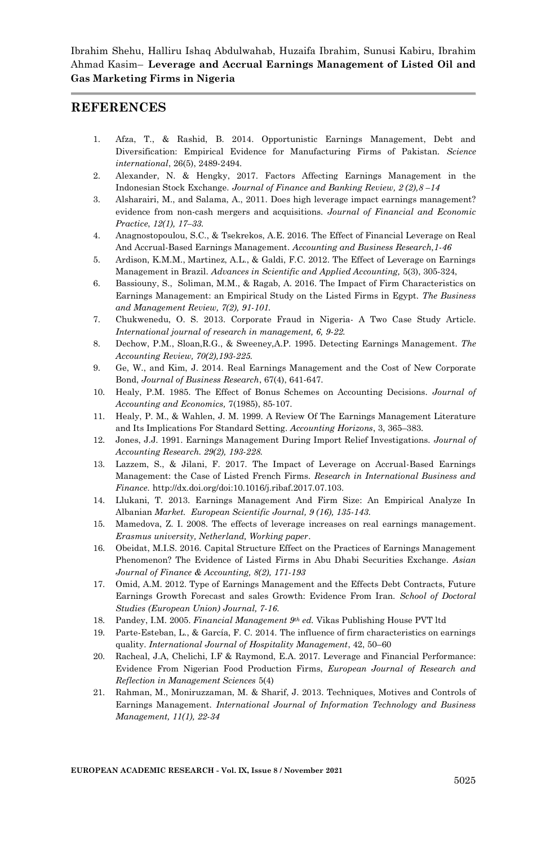#### **REFERENCES**

- 1. Afza, T., & Rashid, B. 2014. Opportunistic Earnings Management, Debt and Diversification: Empirical Evidence for Manufacturing Firms of Pakistan. *Science international*, 26(5), 2489-2494.
- 2. Alexander, N. & Hengky, 2017. Factors Affecting Earnings Management in the Indonesian Stock Exchange. *Journal of Finance and Banking Review, 2 (2),8 –14*
- 3. Alsharairi, M., and Salama, A., 2011. Does high leverage impact earnings management? evidence from non-cash mergers and acquisitions. *Journal of Financial and Economic Practice*, *12(1), 17–33.*
- 4. Anagnostopoulou, S.C., & Tsekrekos, A.E. 2016. The Effect of Financial Leverage on Real And Accrual-Based Earnings Management. *Accounting and Business Research,1-46*
- 5. Ardison, K.M.M., Martinez, A.L., & Galdi, F.C. 2012. The Effect of Leverage on Earnings Management in Brazil. *Advances in Scientific and Applied Accounting,* 5(3), 305-324,
- 6. Bassiouny, S., Soliman, M.M., & Ragab, A. 2016. The Impact of Firm Characteristics on Earnings Management: an Empirical Study on the Listed Firms in Egypt. *The Business and Management Review, 7(2), 91-101.*
- 7. Chukwenedu, O. S. 2013. Corporate Fraud in Nigeria- A Two Case Study Article. *International journal of research in management, 6, 9-22.*
- 8. Dechow, P.M., Sloan,R.G., & Sweeney,A.P. 1995. Detecting Earnings Management. *The Accounting Review, 70(2),193-225.*
- 9. Ge, W., and Kim, J. 2014. Real Earnings Management and the Cost of New Corporate Bond, *Journal of Business Research*, 67(4), 641-647.
- 10. Healy, P.M. 1985. The Effect of Bonus Schemes on Accounting Decisions. *Journal of Accounting and Economics,* 7(1985), 85-107.
- 11. Healy, P. M., & Wahlen, J. M. 1999. A Review Of The Earnings Management Literature and Its Implications For Standard Setting. *Accounting Horizons*, 3, 365–383.
- 12. Jones, J.J. 1991. Earnings Management During Import Relief Investigations. *Journal of Accounting Research. 29(2), 193-228.*
- 13. Lazzem, S., & Jilani, F. 2017. The Impact of Leverage on Accrual-Based Earnings Management: the Case of Listed French Firms. *Research in International Business and Finance.* http://dx.doi.org/doi:10.1016/j.ribaf.2017.07.103.
- 14. Llukani, T. 2013. Earnings Management And Firm Size: An Empirical Analyze In Albanian *Market. European Scientific Journal, 9 (16), 135-143.*
- 15. Mamedova, Z. I. 2008. The effects of leverage increases on real earnings management. *Erasmus university, Netherland, Working paper*.
- 16. Obeidat, M.I.S. 2016. Capital Structure Effect on the Practices of Earnings Management Phenomenon? The Evidence of Listed Firms in Abu Dhabi Securities Exchange. *Asian Journal of Finance & Accounting, 8(2), 171-193*
- 17. Omid, A.M. 2012. Type of Earnings Management and the Effects Debt Contracts, Future Earnings Growth Forecast and sales Growth: Evidence From Iran. *School of Doctoral Studies (European Union) Journal, 7-16*.
- 18. Pandey, I.M. 2005. *Financial Management 9th ed.* Vikas Publishing House PVT ltd
- 19. Parte-Esteban, L., & García, F. C. 2014. The influence of firm characteristics on earnings quality. *International Journal of Hospitality Management*, 42, 50–60
- 20. Racheal, J.A, Chelichi, I.F & Raymond, E.A. 2017. Leverage and Financial Performance: Evidence From Nigerian Food Production Firms, *European Journal of Research and Reflection in Management Sciences* 5(4)
- 21. Rahman, M., Moniruzzaman, M. & Sharif, J. 2013. Techniques, Motives and Controls of Earnings Management. *International Journal of Information Technology and Business Management, 11(1), 22-34*